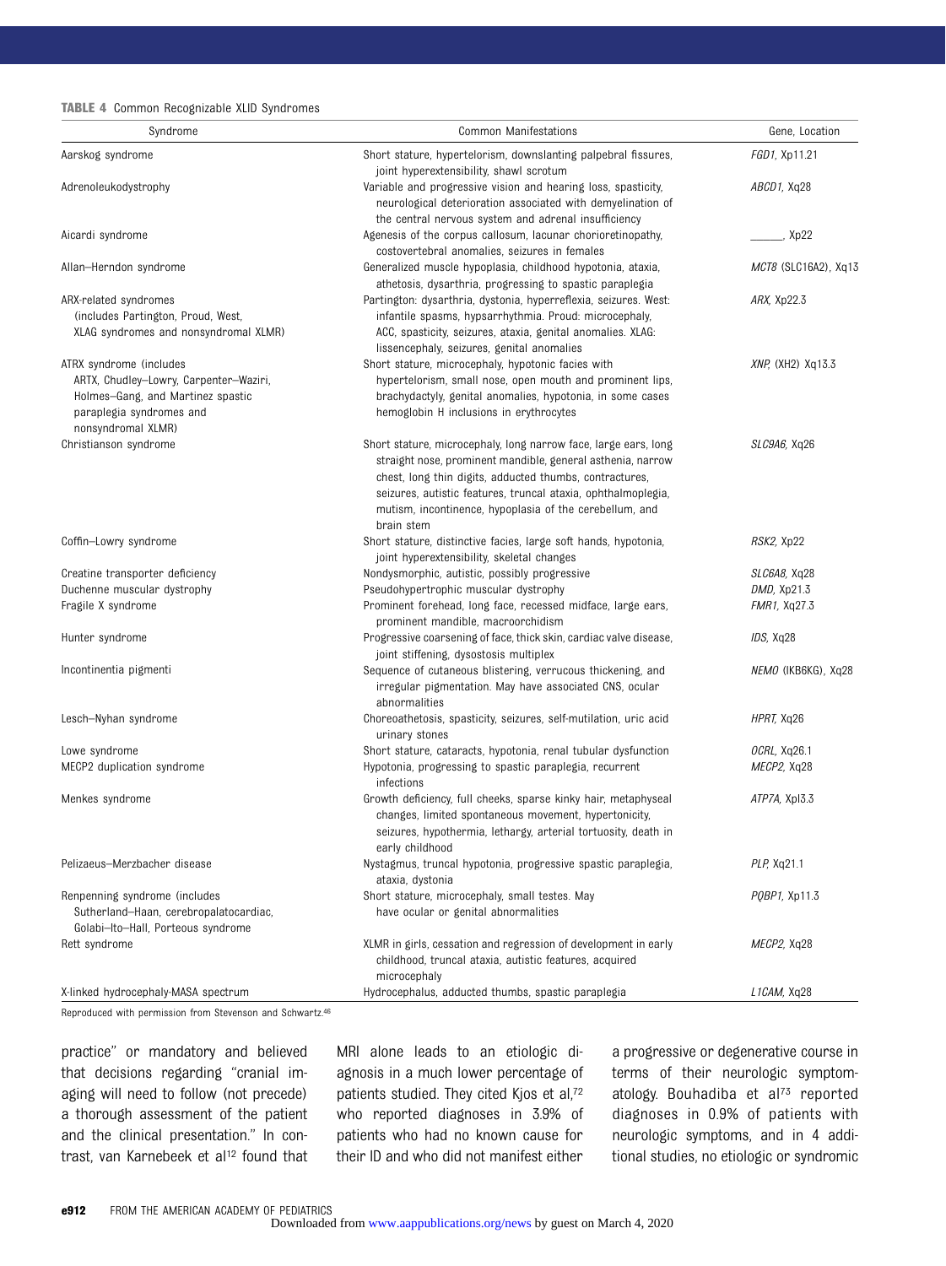### TABLE 4 Common Recognizable XLID Syndromes

| Syndrome                                                                                                                                                 | Common Manifestations                                                                                                                                                                                                                                                                                                               | Gene, Location              |
|----------------------------------------------------------------------------------------------------------------------------------------------------------|-------------------------------------------------------------------------------------------------------------------------------------------------------------------------------------------------------------------------------------------------------------------------------------------------------------------------------------|-----------------------------|
| Aarskog syndrome                                                                                                                                         | Short stature, hypertelorism, downslanting palpebral fissures,                                                                                                                                                                                                                                                                      | FGD1, Xp11.21               |
| Adrenoleukodystrophy                                                                                                                                     | joint hyperextensibility, shawl scrotum<br>Variable and progressive vision and hearing loss, spasticity,<br>neurological deterioration associated with demyelination of                                                                                                                                                             | ABCD1, Xq28                 |
|                                                                                                                                                          | the central nervous system and adrenal insufficiency                                                                                                                                                                                                                                                                                |                             |
| Aicardi syndrome                                                                                                                                         | Agenesis of the corpus callosum, lacunar chorioretinopathy,<br>costovertebral anomalies, seizures in females                                                                                                                                                                                                                        | Xp22                        |
| Allan-Herndon syndrome                                                                                                                                   | Generalized muscle hypoplasia, childhood hypotonia, ataxia,<br>athetosis, dysarthria, progressing to spastic paraplegia                                                                                                                                                                                                             | <i>MCT8</i> (SLC16A2), Xq13 |
| ARX-related syndromes<br>(includes Partington, Proud, West,<br>XLAG syndromes and nonsyndromal XLMR)                                                     | Partington: dysarthria, dystonia, hyperreflexia, seizures. West:<br>infantile spasms, hypsarrhythmia. Proud: microcephaly,<br>ACC, spasticity, seizures, ataxia, genital anomalies. XLAG:<br>lissencephaly, seizures, genital anomalies                                                                                             | ARX, Xp22.3                 |
| ATRX syndrome (includes<br>ARTX, Chudley-Lowry, Carpenter-Waziri,<br>Holmes-Gang, and Martinez spastic<br>paraplegia syndromes and<br>nonsyndromal XLMR) | Short stature, microcephaly, hypotonic facies with<br>hypertelorism, small nose, open mouth and prominent lips,<br>brachydactyly, genital anomalies, hypotonia, in some cases<br>hemoglobin H inclusions in erythrocytes                                                                                                            | <i>XNP</i> , (XH2) Xq13.3   |
| Christianson syndrome                                                                                                                                    | Short stature, microcephaly, long narrow face, large ears, long<br>straight nose, prominent mandible, general asthenia, narrow<br>chest, long thin digits, adducted thumbs, contractures,<br>seizures, autistic features, truncal ataxia, ophthalmoplegia,<br>mutism, incontinence, hypoplasia of the cerebellum, and<br>brain stem | SLC9A6, Xq26                |
| Coffin-Lowry syndrome                                                                                                                                    | Short stature, distinctive facies, large soft hands, hypotonia,<br>joint hyperextensibility, skeletal changes                                                                                                                                                                                                                       | <i>RSK2</i> , Xp22          |
| Creatine transporter deficiency                                                                                                                          | Nondysmorphic, autistic, possibly progressive                                                                                                                                                                                                                                                                                       | SLC6A8, Xq28                |
| Duchenne muscular dystrophy                                                                                                                              | Pseudohypertrophic muscular dystrophy                                                                                                                                                                                                                                                                                               | DMD, Xp21.3                 |
| Fragile X syndrome                                                                                                                                       | Prominent forehead, long face, recessed midface, large ears,<br>prominent mandible, macroorchidism                                                                                                                                                                                                                                  | FMR1, Xq27.3                |
| Hunter syndrome                                                                                                                                          | Progressive coarsening of face, thick skin, cardiac valve disease,<br>joint stiffening, dysostosis multiplex                                                                                                                                                                                                                        | IDS, Xq28                   |
| Incontinentia pigmenti                                                                                                                                   | Sequence of cutaneous blistering, verrucous thickening, and<br>irregular pigmentation. May have associated CNS, ocular<br>abnormalities                                                                                                                                                                                             | <i>NEMO</i> (IKB6KG), Xq28  |
| Lesch-Nyhan syndrome                                                                                                                                     | Choreoathetosis, spasticity, seizures, self-mutilation, uric acid<br>urinary stones                                                                                                                                                                                                                                                 | HPRT, Xq26                  |
| Lowe syndrome                                                                                                                                            | Short stature, cataracts, hypotonia, renal tubular dysfunction                                                                                                                                                                                                                                                                      | <i>OCRL</i> , Xq26.1        |
| MECP2 duplication syndrome                                                                                                                               | Hypotonia, progressing to spastic paraplegia, recurrent<br>infections                                                                                                                                                                                                                                                               | MECP2, Xq28                 |
| Menkes syndrome                                                                                                                                          | Growth deficiency, full cheeks, sparse kinky hair, metaphyseal<br>changes, limited spontaneous movement, hypertonicity,<br>seizures, hypothermia, lethargy, arterial tortuosity, death in<br>early childhood                                                                                                                        | ATP7A, Xpl3.3               |
| Pelizaeus-Merzbacher disease                                                                                                                             | Nystagmus, truncal hypotonia, progressive spastic paraplegia,<br>ataxia, dystonia                                                                                                                                                                                                                                                   | PLP, Xq21.1                 |
| Renpenning syndrome (includes<br>Sutherland-Haan, cerebropalatocardiac,<br>Golabi-Ito-Hall, Porteous syndrome                                            | Short stature, microcephaly, small testes. May<br>have ocular or genital abnormalities                                                                                                                                                                                                                                              | PQBP1, Xp11.3               |
| Rett syndrome                                                                                                                                            | XLMR in girls, cessation and regression of development in early<br>childhood, truncal ataxia, autistic features, acquired<br>microcephaly                                                                                                                                                                                           | MECP2, Xq28                 |
| X-linked hydrocephaly-MASA spectrum                                                                                                                      | Hydrocephalus, adducted thumbs, spastic paraplegia                                                                                                                                                                                                                                                                                  | L1CAM, Xq28                 |

Reproduced with permission from Stevenson and Schwartz.46

practice" or mandatory and believed that decisions regarding "cranial imaging will need to follow (not precede) a thorough assessment of the patient and the clinical presentation." In contrast, van Karnebeek et al<sup>12</sup> found that

MRI alone leads to an etiologic diagnosis in a much lower percentage of patients studied. They cited Kjos et al,72 who reported diagnoses in 3.9% of patients who had no known cause for their ID and who did not manifest either

a progressive or degenerative course in terms of their neurologic symptomatology. Bouhadiba et al<sup>73</sup> reported diagnoses in 0.9% of patients with neurologic symptoms, and in 4 additional studies, no etiologic or syndromic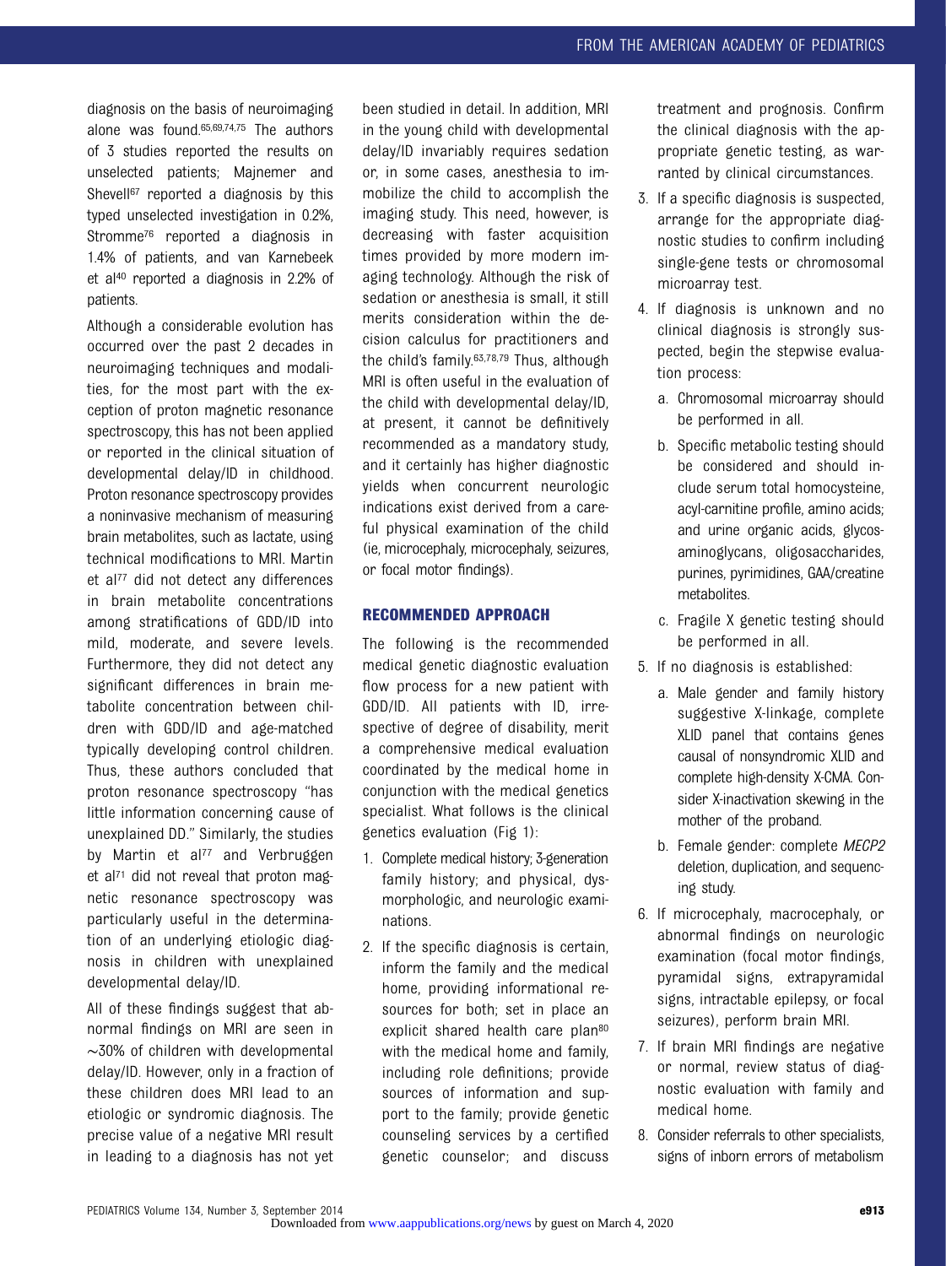diagnosis on the basis of neuroimaging alone was found.65,69,74,75 The authors of 3 studies reported the results on unselected patients; Majnemer and Shevell<sup>67</sup> reported a diagnosis by this typed unselected investigation in 0.2%, Stromme<sup>76</sup> reported a diagnosis in 1.4% of patients, and van Karnebeek et al40 reported a diagnosis in 2.2% of patients.

Although a considerable evolution has occurred over the past 2 decades in neuroimaging techniques and modalities, for the most part with the exception of proton magnetic resonance spectroscopy, this has not been applied or reported in the clinical situation of developmental delay/ID in childhood. Proton resonance spectroscopy provides a noninvasive mechanism of measuring brain metabolites, such as lactate, using technical modifications to MRI. Martin et al<sup>77</sup> did not detect any differences in brain metabolite concentrations among stratifications of GDD/ID into mild, moderate, and severe levels. Furthermore, they did not detect any significant differences in brain metabolite concentration between children with GDD/ID and age-matched typically developing control children. Thus, these authors concluded that proton resonance spectroscopy "has little information concerning cause of unexplained DD." Similarly, the studies by Martin et al<sup>77</sup> and Verbruggen et al<sup>71</sup> did not reveal that proton magnetic resonance spectroscopy was particularly useful in the determination of an underlying etiologic diagnosis in children with unexplained developmental delay/ID.

All of these findings suggest that abnormal findings on MRI are seen in ∼30% of children with developmental delay/ID. However, only in a fraction of these children does MRI lead to an etiologic or syndromic diagnosis. The precise value of a negative MRI result in leading to a diagnosis has not yet

been studied in detail. In addition, MRI in the young child with developmental delay/ID invariably requires sedation or, in some cases, anesthesia to immobilize the child to accomplish the imaging study. This need, however, is decreasing with faster acquisition times provided by more modern imaging technology. Although the risk of sedation or anesthesia is small, it still merits consideration within the decision calculus for practitioners and the child's family.63,78,79 Thus, although MRI is often useful in the evaluation of the child with developmental delay/ID, at present, it cannot be definitively recommended as a mandatory study, and it certainly has higher diagnostic yields when concurrent neurologic indications exist derived from a careful physical examination of the child (ie, microcephaly, microcephaly, seizures, or focal motor findings).

# RECOMMENDED APPROACH

The following is the recommended medical genetic diagnostic evaluation flow process for a new patient with GDD/ID. All patients with ID, irrespective of degree of disability, merit a comprehensive medical evaluation coordinated by the medical home in conjunction with the medical genetics specialist. What follows is the clinical genetics evaluation (Fig 1):

- 1. Complete medical history; 3-generation family history; and physical, dysmorphologic, and neurologic examinations.
- 2. If the specific diagnosis is certain, inform the family and the medical home, providing informational resources for both; set in place an explicit shared health care plan<sup>80</sup> with the medical home and family, including role definitions; provide sources of information and support to the family; provide genetic counseling services by a certified genetic counselor; and discuss

treatment and prognosis. Confirm the clinical diagnosis with the appropriate genetic testing, as warranted by clinical circumstances.

- 3. If a specific diagnosis is suspected, arrange for the appropriate diagnostic studies to confirm including single-gene tests or chromosomal microarray test.
- 4. If diagnosis is unknown and no clinical diagnosis is strongly suspected, begin the stepwise evaluation process:
	- a. Chromosomal microarray should be performed in all.
	- b. Specific metabolic testing should be considered and should include serum total homocysteine, acyl-carnitine profile, amino acids; and urine organic acids, glycosaminoglycans, oligosaccharides, purines, pyrimidines, GAA/creatine metabolites.
	- c. Fragile X genetic testing should be performed in all.
- 5. If no diagnosis is established:
	- a. Male gender and family history suggestive X-linkage, complete XLID panel that contains genes causal of nonsyndromic XLID and complete high-density X-CMA. Consider X-inactivation skewing in the mother of the proband.
	- b. Female gender: complete MECP2 deletion, duplication, and sequencing study.
- 6. If microcephaly, macrocephaly, or abnormal findings on neurologic examination (focal motor findings, pyramidal signs, extrapyramidal signs, intractable epilepsy, or focal seizures), perform brain MRI.
- 7. If brain MRI findings are negative or normal, review status of diagnostic evaluation with family and medical home.
- 8. Consider referrals to other specialists, signs of inborn errors of metabolism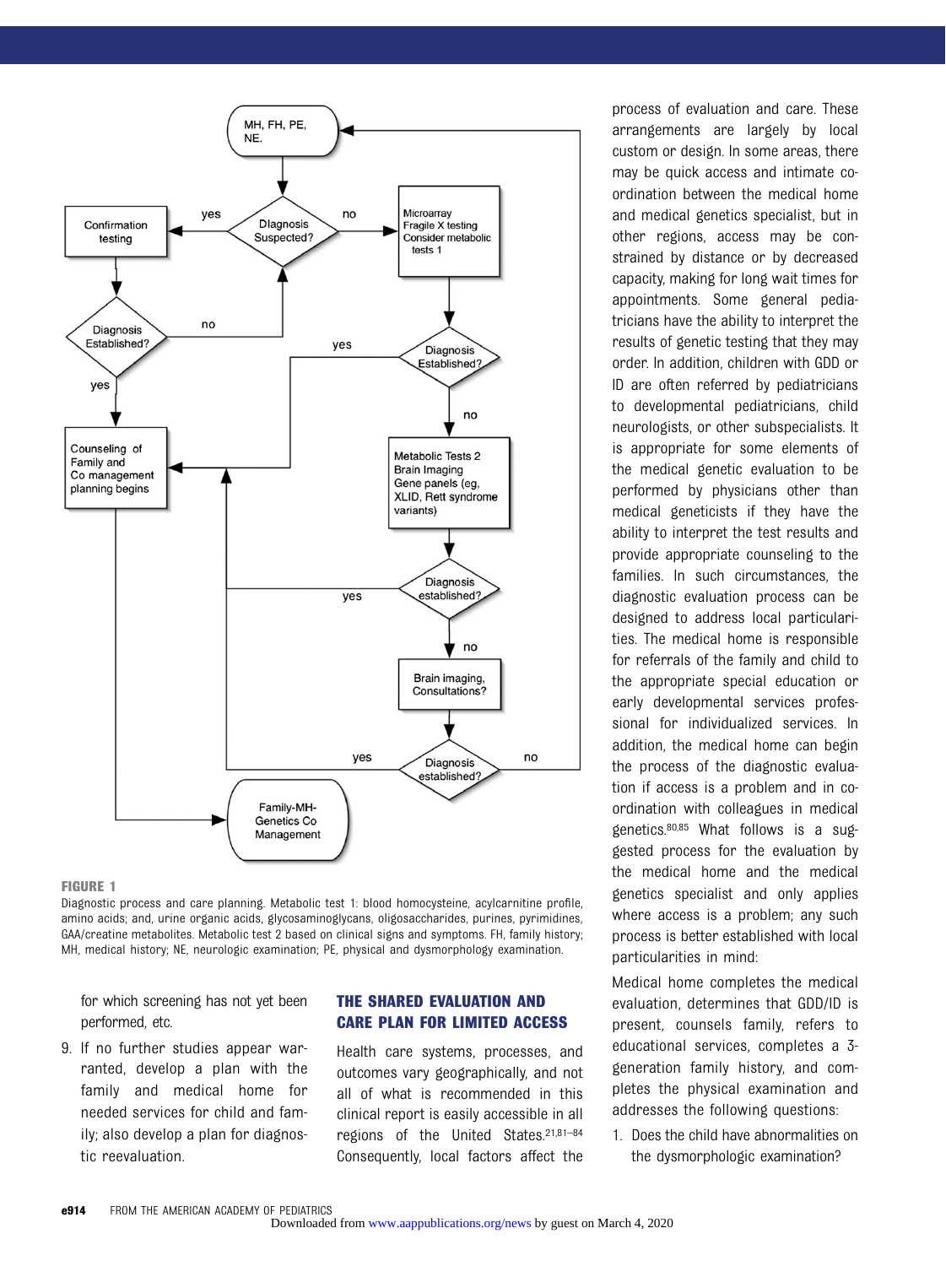

## **FIGURE 1**

----------<br>Diagnostic process and care planning. Metabolic test 1: blood homocysteine, acylcarnitine profile, amino acids; and, urine organic acids, glycosaminoglycans, oligosaccharides, purines, pyrimidines, GAA/creatine metabolites. Metabolic test 2 based on clinical signs and symptoms. FH, family history; MH, medical history; NE, neurologic examination; PE, physical and dysmorphology examination.

for which screening has not yet been performed, etc.

9. If no further studies appear warranted, develop a plan with the family and medical home for needed services for child and family; also develop a plan for diagnostic reevaluation.

# THE SHARED EVALUATION AND<br>CARE PLAN FOR LIMITED ACCESS CARE PLAN FOR LIMITED ACCESS

Health care systems, processes, and outcomes vary geographically, and not all of what is recommended in this clinical report is easily accessible in all regions of the United States.21,81–<sup>84</sup> Consequently, local factors affect the

process of evaluation and care. These arrangements are largely by local custom or design. In some areas, there may be quick access and intimate coordination between the medical home and medical genetics specialist, but in other regions, access may be constrained by distance or by decreased capacity, making for long wait times for appointments. Some general pediatricians have the ability to interpret the results of genetic testing that they may order. In addition, children with GDD or ID are often referred by pediatricians to developmental pediatricians, child neurologists, or other subspecialists. It is appropriate for some elements of the medical genetic evaluation to be performed by physicians other than medical geneticists if they have the ability to interpret the test results and provide appropriate counseling to the families. In such circumstances, the diagnostic evaluation process can be designed to address local particularities. The medical home is responsible for referrals of the family and child to the appropriate special education or early developmental services professional for individualized services. In addition, the medical home can begin the process of the diagnostic evaluation if access is a problem and in coordination with colleagues in medical genetics.80,85 What follows is a suggested process for the evaluation by the medical home and the medical genetics specialist and only applies where access is a problem; any such process is better established with local particularities in mind:

Medical home completes the medical evaluation, determines that GDD/ID is present, counsels family, refers to educational services, completes a 3 generation family history, and completes the physical examination and addresses the following questions:

1. Does the child have abnormalities on the dysmorphologic examination?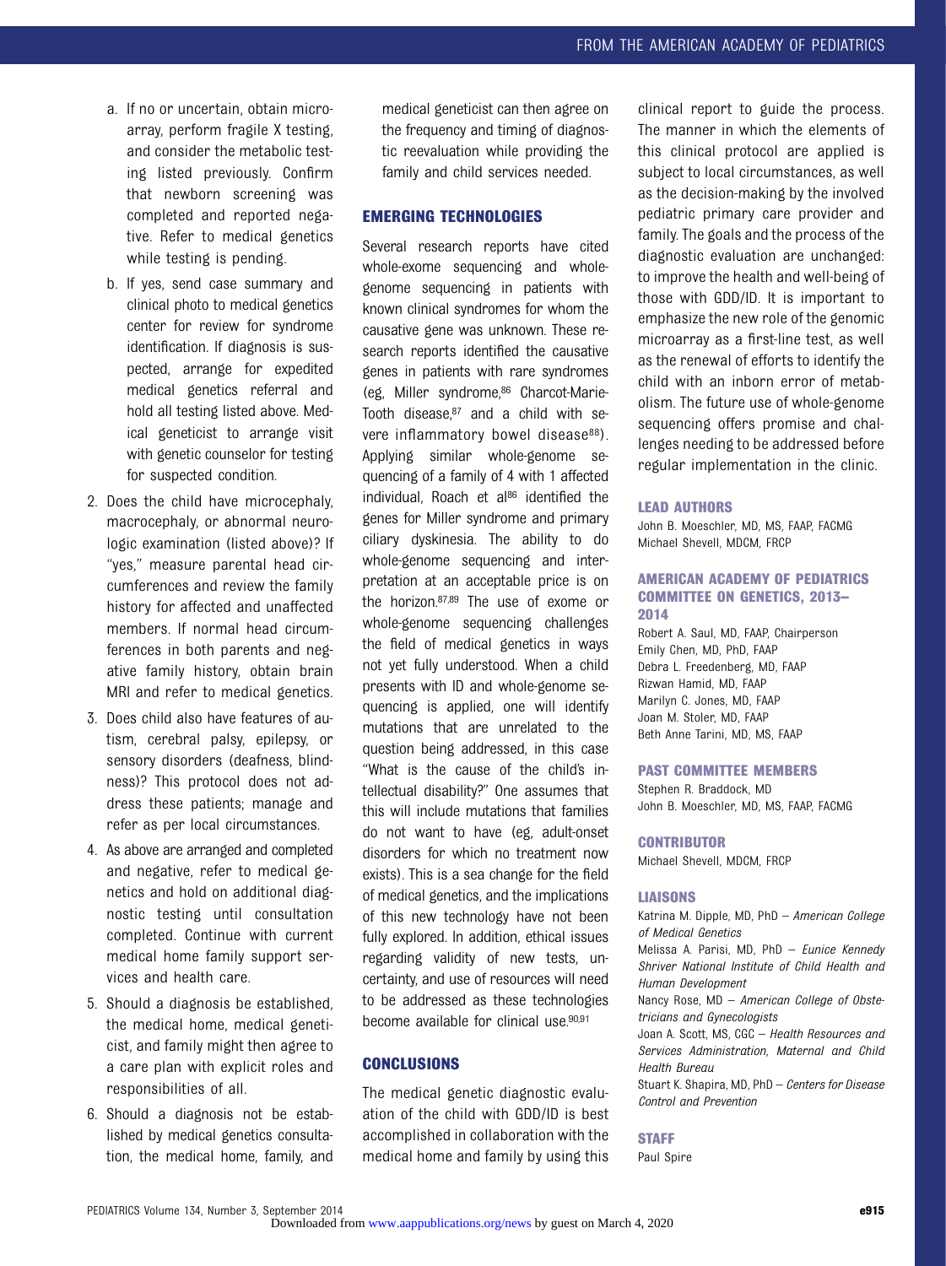- a. If no or uncertain, obtain microarray, perform fragile X testing, and consider the metabolic testing listed previously. Confirm that newborn screening was completed and reported negative. Refer to medical genetics while testing is pending.
- b. If yes, send case summary and clinical photo to medical genetics center for review for syndrome identification. If diagnosis is suspected, arrange for expedited medical genetics referral and hold all testing listed above. Medical geneticist to arrange visit with genetic counselor for testing for suspected condition.
- 2. Does the child have microcephaly, macrocephaly, or abnormal neurologic examination (listed above)? If "yes," measure parental head circumferences and review the family history for affected and unaffected members. If normal head circumferences in both parents and negative family history, obtain brain MRI and refer to medical genetics.
- 3. Does child also have features of autism, cerebral palsy, epilepsy, or sensory disorders (deafness, blindness)? This protocol does not address these patients; manage and refer as per local circumstances.
- 4. As above are arranged and completed and negative, refer to medical genetics and hold on additional diagnostic testing until consultation completed. Continue with current medical home family support services and health care.
- 5. Should a diagnosis be established, the medical home, medical geneticist, and family might then agree to a care plan with explicit roles and responsibilities of all.
- 6. Should a diagnosis not be established by medical genetics consultation, the medical home, family, and

medical geneticist can then agree on the frequency and timing of diagnostic reevaluation while providing the family and child services needed.

# EMERGING TECHNOLOGIES

Several research reports have cited whole-exome sequencing and wholegenome sequencing in patients with known clinical syndromes for whom the causative gene was unknown. These research reports identified the causative genes in patients with rare syndromes (eg, Miller syndrome,86 Charcot-Marie-Tooth disease,<sup>87</sup> and a child with severe inflammatory bowel disease<sup>88</sup>). Applying similar whole-genome sequencing of a family of 4 with 1 affected individual, Roach et al $86$  identified the genes for Miller syndrome and primary ciliary dyskinesia. The ability to do whole-genome sequencing and interpretation at an acceptable price is on the horizon.87,89 The use of exome or whole-genome sequencing challenges the field of medical genetics in ways not yet fully understood. When a child presents with ID and whole-genome sequencing is applied, one will identify mutations that are unrelated to the question being addressed, in this case "What is the cause of the child's intellectual disability?" One assumes that this will include mutations that families do not want to have (eg, adult-onset disorders for which no treatment now exists). This is a sea change for the field of medical genetics, and the implications of this new technology have not been fully explored. In addition, ethical issues regarding validity of new tests, uncertainty, and use of resources will need to be addressed as these technologies become available for clinical use.<sup>90,91</sup>

# **CONCLUSIONS** CONCLUSIONS

The medical genetic diagnostic evaluation of the child with GDD/ID is best accomplished in collaboration with the medical home and family by using this

clinical report to guide the process. The manner in which the elements of this clinical protocol are applied is subject to local circumstances, as well as the decision-making by the involved pediatric primary care provider and family. The goals and the process of the diagnostic evaluation are unchanged: to improve the health and well-being of those with GDD/ID. It is important to emphasize the new role of the genomic microarray as a first-line test, as well as the renewal of efforts to identify the child with an inborn error of metabolism. The future use of whole-genome sequencing offers promise and challenges needing to be addressed before regular implementation in the clinic.

### **LEAD AUTHORS**

John B. Moeschler, MD, MS, FAAP, FACMG Michael Shevell, MDCM, FRCP

# **AMERICAN ACADEMY OF PEDIATRICS** COMMITTEE ON GENETICS, 2013–<br>2014

2014 Robert A. Saul, MD, FAAP, Chairperson Emily Chen, MD, PhD, FAAP Debra L. Freedenberg, MD, FAAP Rizwan Hamid, MD, FAAP Marilyn C. Jones, MD, FAAP Joan M. Stoler, MD, FAAP Beth Anne Tarini, MD, MS, FAAP

PAST COMMITTEE MEMBERS Stephen R. Braddock, MD John B. Moeschler, MD, MS, FAAP, FACMG

**Michael Shevell, MDCM, FRCP** 

### **TIAISONS**

Katrina M. Dipple, MD, PhD – American College of Medical Genetics

Melissa A. Parisi, MD, PhD – Eunice Kennedy Shriver National Institute of Child Health and Human Development

Nancy Rose, MD – American College of Obstetricians and Gynecologists

Joan A. Scott, MS, CGC – Health Resources and Services Administration, Maternal and Child Health Bureau

Stuart K. Shapira, MD, PhD – Centers for Disease Control and Prevention

## **STAFF**

.<br>Paul Spire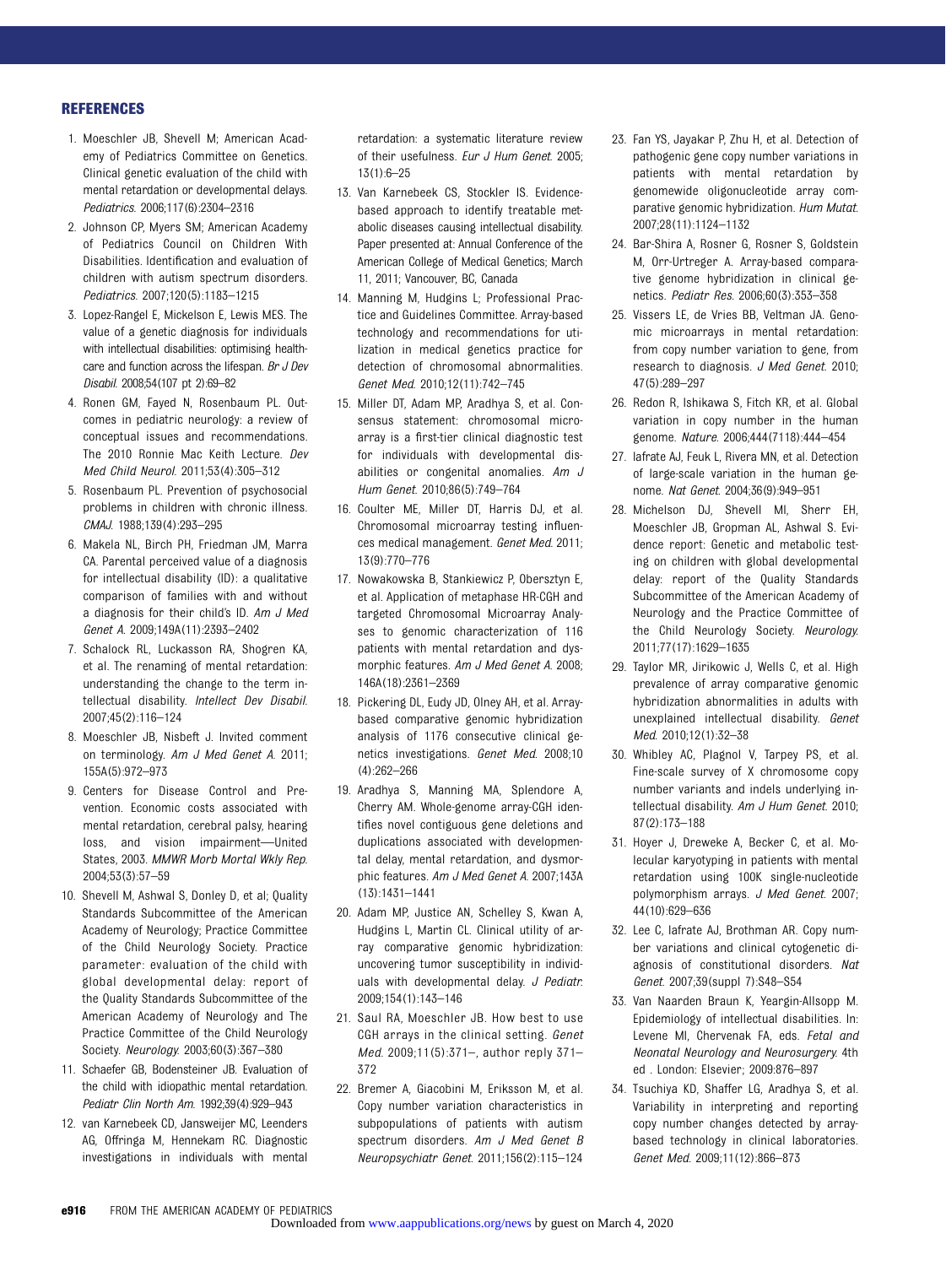## **REFERENCES**

- 1. Moeschler JB, Shevell M; American Academy of Pediatrics Committee on Genetics. Clinical genetic evaluation of the child with mental retardation or developmental delays. Pediatrics. 2006;117(6):2304–2316
- 2. Johnson CP, Myers SM; American Academy of Pediatrics Council on Children With Disabilities. Identification and evaluation of children with autism spectrum disorders. Pediatrics. 2007;120(5):1183–1215
- 3. Lopez-Rangel E, Mickelson E, Lewis MES. The value of a genetic diagnosis for individuals with intellectual disabilities: optimising healthcare and function across the lifespan. Br J Dev Disabil. 2008;54(107 pt 2):69–82
- 4. Ronen GM, Fayed N, Rosenbaum PL. Outcomes in pediatric neurology: a review of conceptual issues and recommendations. The 2010 Ronnie Mac Keith Lecture. Dev Med Child Neurol. 2011;53(4):305–312
- 5. Rosenbaum PL. Prevention of psychosocial problems in children with chronic illness. CMAJ. 1988;139(4):293–295
- 6. Makela NL, Birch PH, Friedman JM, Marra CA. Parental perceived value of a diagnosis for intellectual disability (ID): a qualitative comparison of families with and without a diagnosis for their child's ID. Am J Med Genet A. 2009;149A(11):2393–2402
- 7. Schalock RL, Luckasson RA, Shogren KA, et al. The renaming of mental retardation: understanding the change to the term intellectual disability. Intellect Dev Disabil. 2007;45(2):116–124
- 8. Moeschler JB, Nisbeft J. Invited comment on terminology. Am J Med Genet A. 2011; 155A(5):972–973
- 9. Centers for Disease Control and Prevention. Economic costs associated with mental retardation, cerebral palsy, hearing loss, and vision impairment—United States, 2003. MMWR Morb Mortal Wkly Rep. 2004;53(3):57–59
- 10. Shevell M, Ashwal S, Donley D, et al; Quality Standards Subcommittee of the American Academy of Neurology; Practice Committee of the Child Neurology Society. Practice parameter: evaluation of the child with global developmental delay: report of the Quality Standards Subcommittee of the American Academy of Neurology and The Practice Committee of the Child Neurology Society. Neurology. 2003;60(3):367–380
- 11. Schaefer GB, Bodensteiner JB. Evaluation of the child with idiopathic mental retardation. Pediatr Clin North Am. 1992;39(4):929–943
- 12. van Karnebeek CD, Jansweijer MC, Leenders AG, Offringa M, Hennekam RC. Diagnostic investigations in individuals with mental

retardation: a systematic literature review of their usefulness. Eur J Hum Genet. 2005; 13(1):6–25

- 13. Van Karnebeek CS, Stockler IS. Evidencebased approach to identify treatable metabolic diseases causing intellectual disability. Paper presented at: Annual Conference of the American College of Medical Genetics; March 11, 2011; Vancouver, BC, Canada
- 14. Manning M, Hudgins L; Professional Practice and Guidelines Committee. Array-based technology and recommendations for utilization in medical genetics practice for detection of chromosomal abnormalities. Genet Med. 2010;12(11):742–745
- 15. Miller DT, Adam MP, Aradhya S, et al. Consensus statement: chromosomal microarray is a first-tier clinical diagnostic test for individuals with developmental disabilities or congenital anomalies. Am J Hum Genet. 2010;86(5):749–764
- 16. Coulter ME, Miller DT, Harris DJ, et al. Chromosomal microarray testing influences medical management. Genet Med. 2011; 13(9):770–776
- 17. Nowakowska B, Stankiewicz P, Obersztyn E, et al. Application of metaphase HR-CGH and targeted Chromosomal Microarray Analyses to genomic characterization of 116 patients with mental retardation and dysmorphic features. Am J Med Genet A. 2008; 146A(18):2361–2369
- 18. Pickering DL, Eudy JD, Olney AH, et al. Arraybased comparative genomic hybridization analysis of 1176 consecutive clinical genetics investigations. Genet Med. 2008;10 (4):262–266
- 19. Aradhya S, Manning MA, Splendore A, Cherry AM. Whole-genome array-CGH identifies novel contiguous gene deletions and duplications associated with developmental delay, mental retardation, and dysmorphic features. Am J Med Genet A. 2007;143A (13):1431–1441
- 20. Adam MP, Justice AN, Schelley S, Kwan A, Hudgins L, Martin CL. Clinical utility of array comparative genomic hybridization: uncovering tumor susceptibility in individuals with developmental delay. J Pediatr. 2009;154(1):143–146
- 21. Saul RA, Moeschler JB. How best to use CGH arrays in the clinical setting. Genet Med. 2009;11(5):371–, author reply 371– 372
- 22. Bremer A, Giacobini M, Eriksson M, et al. Copy number variation characteristics in subpopulations of patients with autism spectrum disorders. Am J Med Genet B Neuropsychiatr Genet. 2011;156(2):115–124
- 23. Fan YS, Jayakar P, Zhu H, et al. Detection of pathogenic gene copy number variations in patients with mental retardation by genomewide oligonucleotide array comparative genomic hybridization. Hum Mutat. 2007;28(11):1124–1132
- 24. Bar-Shira A, Rosner G, Rosner S, Goldstein M, Orr-Urtreger A. Array-based comparative genome hybridization in clinical genetics. Pediatr Res. 2006;60(3):353–358
- 25. Vissers LE, de Vries BB, Veltman JA. Genomic microarrays in mental retardation: from copy number variation to gene, from research to diagnosis. J Med Genet. 2010; 47(5):289–297
- 26. Redon R, Ishikawa S, Fitch KR, et al. Global variation in copy number in the human genome. Nature. 2006;444(7118):444–454
- 27. Iafrate AJ, Feuk L, Rivera MN, et al. Detection of large-scale variation in the human genome. Nat Genet. 2004;36(9):949–951
- 28. Michelson DJ, Shevell MI, Sherr EH, Moeschler JB, Gropman AL, Ashwal S. Evidence report: Genetic and metabolic testing on children with global developmental delay: report of the Quality Standards Subcommittee of the American Academy of Neurology and the Practice Committee of the Child Neurology Society. Neurology. 2011;77(17):1629–1635
- 29. Taylor MR, Jirikowic J, Wells C, et al. High prevalence of array comparative genomic hybridization abnormalities in adults with unexplained intellectual disability. Genet Med. 2010;12(1):32–38
- 30. Whibley AC, Plagnol V, Tarpey PS, et al. Fine-scale survey of X chromosome copy number variants and indels underlying intellectual disability. Am J Hum Genet. 2010; 87(2):173–188
- 31. Hoyer J, Dreweke A, Becker C, et al. Molecular karyotyping in patients with mental retardation using 100K single-nucleotide polymorphism arrays. J Med Genet. 2007; 44(10):629–636
- 32. Lee C, Iafrate AJ, Brothman AR. Copy number variations and clinical cytogenetic diagnosis of constitutional disorders. Nat Genet. 2007;39(suppl 7):S48–S54
- 33. Van Naarden Braun K, Yeargin-Allsopp M. Epidemiology of intellectual disabilities. In: Levene MI, Chervenak FA, eds. Fetal and Neonatal Neurology and Neurosurgery. 4th ed . London: Elsevier; 2009:876–897
- 34. Tsuchiya KD, Shaffer LG, Aradhya S, et al. Variability in interpreting and reporting copy number changes detected by arraybased technology in clinical laboratories. Genet Med. 2009;11(12):866–873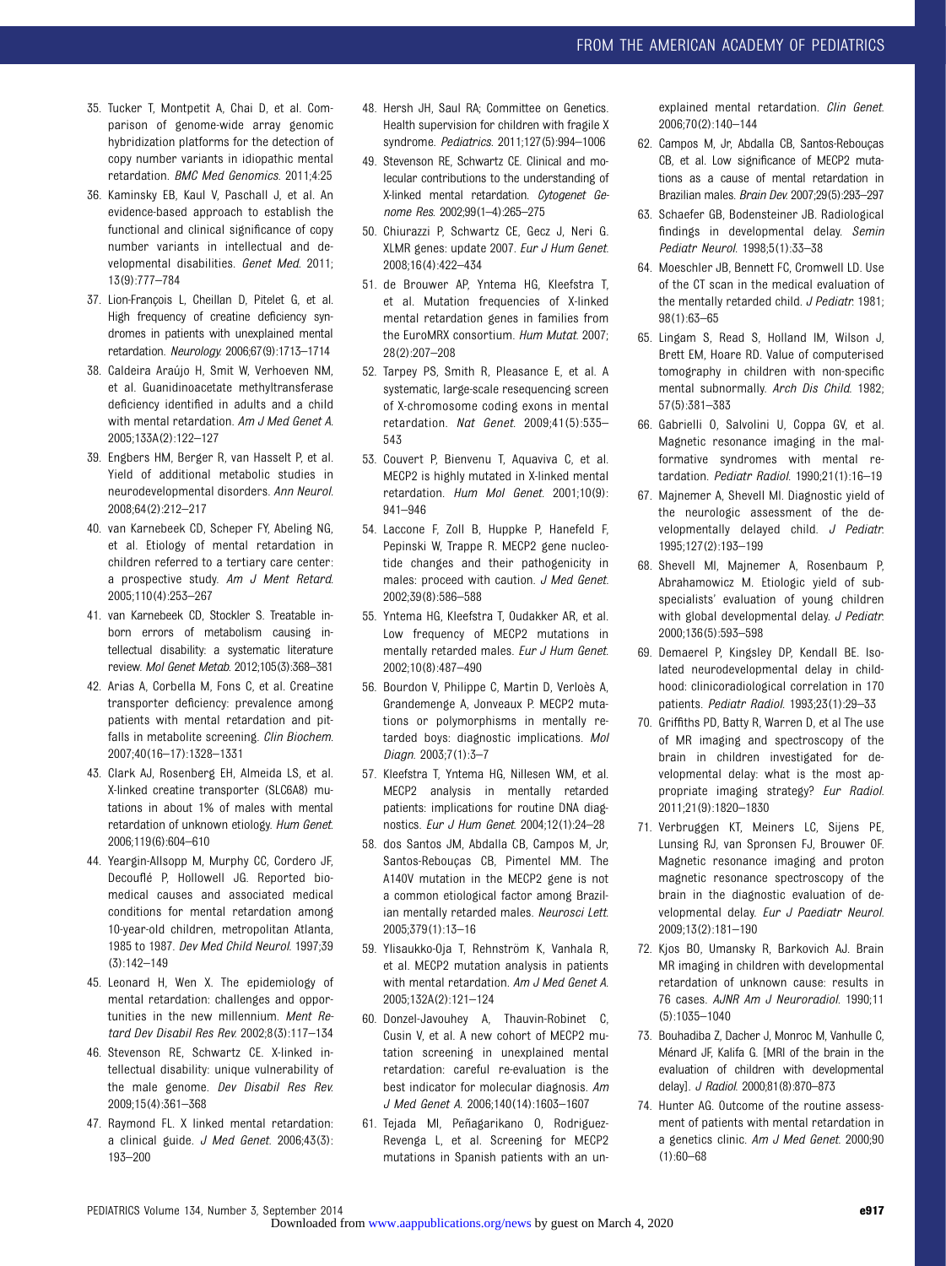- 35. Tucker T, Montpetit A, Chai D, et al. Comparison of genome-wide array genomic hybridization platforms for the detection of copy number variants in idiopathic mental retardation. BMC Med Genomics. 2011;4:25
- 36. Kaminsky EB, Kaul V, Paschall J, et al. An evidence-based approach to establish the functional and clinical significance of copy number variants in intellectual and developmental disabilities. Genet Med. 2011; 13(9):777–784
- 37. Lion-François L, Cheillan D, Pitelet G, et al. High frequency of creatine deficiency syndromes in patients with unexplained mental retardation. Neurology. 2006;67(9):1713–1714
- 38. Caldeira Araújo H, Smit W, Verhoeven NM, et al. Guanidinoacetate methyltransferase deficiency identified in adults and a child with mental retardation. Am J Med Genet A. 2005;133A(2):122–127
- 39. Engbers HM, Berger R, van Hasselt P, et al. Yield of additional metabolic studies in neurodevelopmental disorders. Ann Neurol. 2008;64(2):212–217
- 40. van Karnebeek CD, Scheper FY, Abeling NG, et al. Etiology of mental retardation in children referred to a tertiary care center: a prospective study. Am J Ment Retard. 2005;110(4):253–267
- 41. van Karnebeek CD, Stockler S. Treatable inborn errors of metabolism causing intellectual disability: a systematic literature review. Mol Genet Metab. 2012;105(3):368–381
- 42. Arias A, Corbella M, Fons C, et al. Creatine transporter deficiency: prevalence among patients with mental retardation and pitfalls in metabolite screening. Clin Biochem. 2007;40(16–17):1328–1331
- 43. Clark AJ, Rosenberg EH, Almeida LS, et al. X-linked creatine transporter (SLC6A8) mutations in about 1% of males with mental retardation of unknown etiology. Hum Genet. 2006;119(6):604–610
- 44. Yeargin-Allsopp M, Murphy CC, Cordero JF, Decouflé P, Hollowell JG. Reported biomedical causes and associated medical conditions for mental retardation among 10-year-old children, metropolitan Atlanta, 1985 to 1987. Dev Med Child Neurol. 1997;39 (3):142–149
- 45. Leonard H, Wen X. The epidemiology of mental retardation: challenges and opportunities in the new millennium. Ment Retard Dev Disabil Res Rev. 2002;8(3):117–134
- 46. Stevenson RE, Schwartz CE. X-linked intellectual disability: unique vulnerability of the male genome. Dev Disabil Res Rev. 2009;15(4):361–368
- 47. Raymond FL. X linked mental retardation: a clinical guide. J Med Genet. 2006;43(3): 193–200
- 48. Hersh JH, Saul RA; Committee on Genetics. Health supervision for children with fragile X syndrome. Pediatrics. 2011;127(5):994–1006
- 49. Stevenson RE, Schwartz CE. Clinical and molecular contributions to the understanding of X-linked mental retardation. Cytogenet Genome Res. 2002;99(1–4):265–275
- 50. Chiurazzi P, Schwartz CE, Gecz J, Neri G. XLMR genes: update 2007. Eur J Hum Genet. 2008;16(4):422–434
- 51. de Brouwer AP, Yntema HG, Kleefstra T, et al. Mutation frequencies of X-linked mental retardation genes in families from the EuroMRX consortium. Hum Mutat. 2007; 28(2):207–208
- 52. Tarpey PS, Smith R, Pleasance E, et al. A systematic, large-scale resequencing screen of X-chromosome coding exons in mental retardation. Nat Genet. 2009;41(5):535– 543
- 53. Couvert P, Bienvenu T, Aquaviva C, et al. MECP2 is highly mutated in X-linked mental retardation. Hum Mol Genet. 2001;10(9): 941–946
- 54. Laccone F, Zoll B, Huppke P, Hanefeld F, Pepinski W, Trappe R. MECP2 gene nucleotide changes and their pathogenicity in males: proceed with caution. J Med Genet. 2002;39(8):586–588
- 55. Yntema HG, Kleefstra T, Oudakker AR, et al. Low frequency of MECP2 mutations in mentally retarded males. Eur J Hum Genet. 2002;10(8):487–490
- 56. Bourdon V, Philippe C, Martin D, Verloès A, Grandemenge A, Jonveaux P. MECP2 mutations or polymorphisms in mentally retarded boys: diagnostic implications. Mol Diagn. 2003;7(1):3–7
- 57. Kleefstra T, Yntema HG, Nillesen WM, et al. MECP2 analysis in mentally retarded patients: implications for routine DNA diagnostics. Eur J Hum Genet. 2004;12(1):24–28
- 58. dos Santos JM, Abdalla CB, Campos M, Jr, Santos-Rebouças CB, Pimentel MM. The A140V mutation in the MECP2 gene is not a common etiological factor among Brazilian mentally retarded males. Neurosci Lett. 2005;379(1):13–16
- 59. Ylisaukko-Oja T, Rehnström K, Vanhala R, et al. MECP2 mutation analysis in patients with mental retardation. Am J Med Genet A. 2005;132A(2):121–124
- 60. Donzel-Javouhey A, Thauvin-Robinet C, Cusin V, et al. A new cohort of MECP2 mutation screening in unexplained mental retardation: careful re-evaluation is the best indicator for molecular diagnosis. Am J Med Genet A. 2006;140(14):1603–1607
- 61. Tejada MI, Peñagarikano O, Rodriguez-Revenga L, et al. Screening for MECP2 mutations in Spanish patients with an un-

explained mental retardation. Clin Genet. 2006;70(2):140–144

- 62. Campos M, Jr, Abdalla CB, Santos-Rebouças CB, et al. Low significance of MECP2 mutations as a cause of mental retardation in Brazilian males. Brain Dev. 2007;29(5):293–297
- 63. Schaefer GB, Bodensteiner JB. Radiological findings in developmental delay. Semin Pediatr Neurol. 1998;5(1):33–38
- 64. Moeschler JB, Bennett FC, Cromwell LD. Use of the CT scan in the medical evaluation of the mentally retarded child. J Pediatr. 1981; 98(1):63–65
- 65. Lingam S, Read S, Holland IM, Wilson J, Brett EM, Hoare RD. Value of computerised tomography in children with non-specific mental subnormally. Arch Dis Child. 1982; 57(5):381–383
- 66. Gabrielli O, Salvolini U, Coppa GV, et al. Magnetic resonance imaging in the malformative syndromes with mental retardation. Pediatr Radiol. 1990;21(1):16–19
- 67. Majnemer A, Shevell MI. Diagnostic yield of the neurologic assessment of the developmentally delayed child. J Pediatr. 1995;127(2):193–199
- 68. Shevell MI, Majnemer A, Rosenbaum P, Abrahamowicz M. Etiologic yield of subspecialists' evaluation of young children with global developmental delay. J Pediatr. 2000;136(5):593–598
- 69. Demaerel P, Kingsley DP, Kendall BE. Isolated neurodevelopmental delay in childhood: clinicoradiological correlation in 170 patients. Pediatr Radiol. 1993;23(1):29–33
- 70. Griffiths PD, Batty R, Warren D, et al The use of MR imaging and spectroscopy of the brain in children investigated for developmental delay: what is the most appropriate imaging strategy? Eur Radiol. 2011;21(9):1820–1830
- 71. Verbruggen KT, Meiners LC, Sijens PE, Lunsing RJ, van Spronsen FJ, Brouwer OF. Magnetic resonance imaging and proton magnetic resonance spectroscopy of the brain in the diagnostic evaluation of developmental delay. Eur J Paediatr Neurol. 2009;13(2):181–190
- 72. Kjos BO, Umansky R, Barkovich AJ. Brain MR imaging in children with developmental retardation of unknown cause: results in 76 cases. AJNR Am J Neuroradiol. 1990;11 (5):1035–1040
- 73. Bouhadiba Z, Dacher J, Monroc M, Vanhulle C, Ménard JF, Kalifa G. [MRI of the brain in the evaluation of children with developmental delay]. J Radiol. 2000;81(8):870–873
- 74. Hunter AG. Outcome of the routine assessment of patients with mental retardation in a genetics clinic. Am J Med Genet. 2000;90 (1):60–68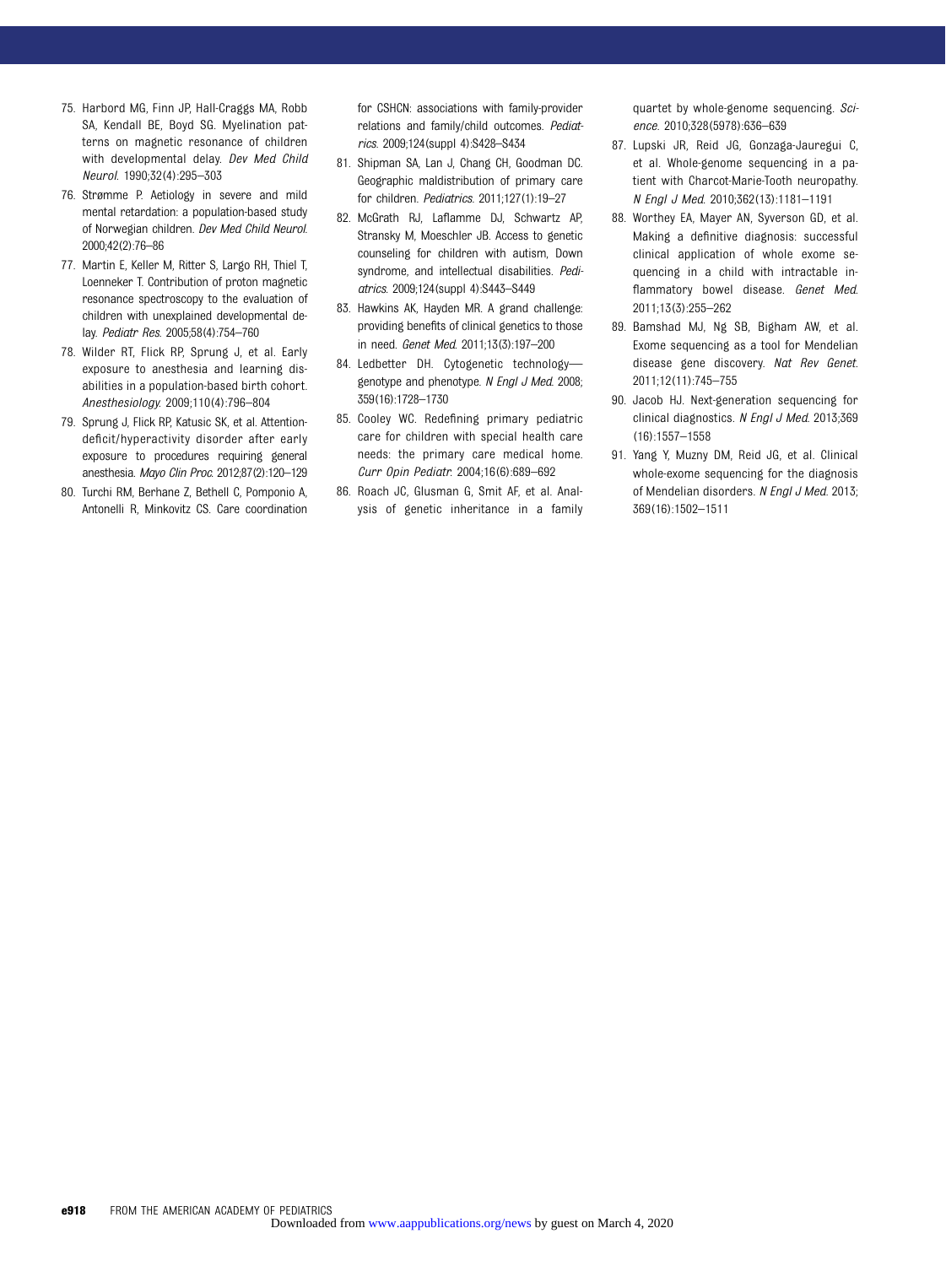- 75. Harbord MG, Finn JP, Hall-Craggs MA, Robb SA, Kendall BE, Boyd SG. Myelination patterns on magnetic resonance of children with developmental delay. Dev Med Child Neurol. 1990;32(4):295–303
- 76. Strømme P. Aetiology in severe and mild mental retardation: a population-based study of Norwegian children. Dev Med Child Neurol. 2000;42(2):76–86
- 77. Martin E, Keller M, Ritter S, Largo RH, Thiel T, Loenneker T. Contribution of proton magnetic resonance spectroscopy to the evaluation of children with unexplained developmental delay. Pediatr Res. 2005;58(4):754–760
- 78. Wilder RT, Flick RP, Sprung J, et al. Early exposure to anesthesia and learning disabilities in a population-based birth cohort. Anesthesiology. 2009;110(4):796–804
- 79. Sprung J, Flick RP, Katusic SK, et al. Attentiondeficit/hyperactivity disorder after early exposure to procedures requiring general anesthesia. Mayo Clin Proc. 2012;87(2):120–129
- 80. Turchi RM, Berhane Z, Bethell C, Pomponio A, Antonelli R, Minkovitz CS. Care coordination

for CSHCN: associations with family-provider relations and family/child outcomes. Pediatrics. 2009;124(suppl 4):S428–S434

- 81. Shipman SA, Lan J, Chang CH, Goodman DC. Geographic maldistribution of primary care for children. Pediatrics. 2011;127(1):19–27
- 82. McGrath RJ, Laflamme DJ, Schwartz AP, Stransky M, Moeschler JB. Access to genetic counseling for children with autism, Down syndrome, and intellectual disabilities. Pediatrics. 2009;124(suppl 4):S443–S449
- 83. Hawkins AK, Hayden MR. A grand challenge: providing benefits of clinical genetics to those in need. Genet Med. 2011;13(3):197–200
- 84. Ledbetter DH. Cytogenetic technology genotype and phenotype. N Engl J Med. 2008; 359(16):1728–1730
- 85. Cooley WC. Redefining primary pediatric care for children with special health care needs: the primary care medical home. Curr Opin Pediatr. 2004;16(6):689–692
- 86. Roach JC, Glusman G, Smit AF, et al. Analysis of genetic inheritance in a family

quartet by whole-genome sequencing. Science. 2010;328(5978):636–639

- 87. Lupski JR, Reid JG, Gonzaga-Jauregui C, et al. Whole-genome sequencing in a patient with Charcot-Marie-Tooth neuropathy. N Engl J Med. 2010;362(13):1181–1191
- 88. Worthey EA, Mayer AN, Syverson GD, et al. Making a definitive diagnosis: successful clinical application of whole exome sequencing in a child with intractable inflammatory bowel disease. Genet Med. 2011;13(3):255–262
- 89. Bamshad MJ, Ng SB, Bigham AW, et al. Exome sequencing as a tool for Mendelian disease gene discovery. Nat Rev Genet. 2011;12(11):745–755
- 90. Jacob HJ. Next-generation sequencing for clinical diagnostics. N Engl J Med. 2013;369 (16):1557–1558
- 91. Yang Y, Muzny DM, Reid JG, et al. Clinical whole-exome sequencing for the diagnosis of Mendelian disorders. N Engl J Med. 2013; 369(16):1502–1511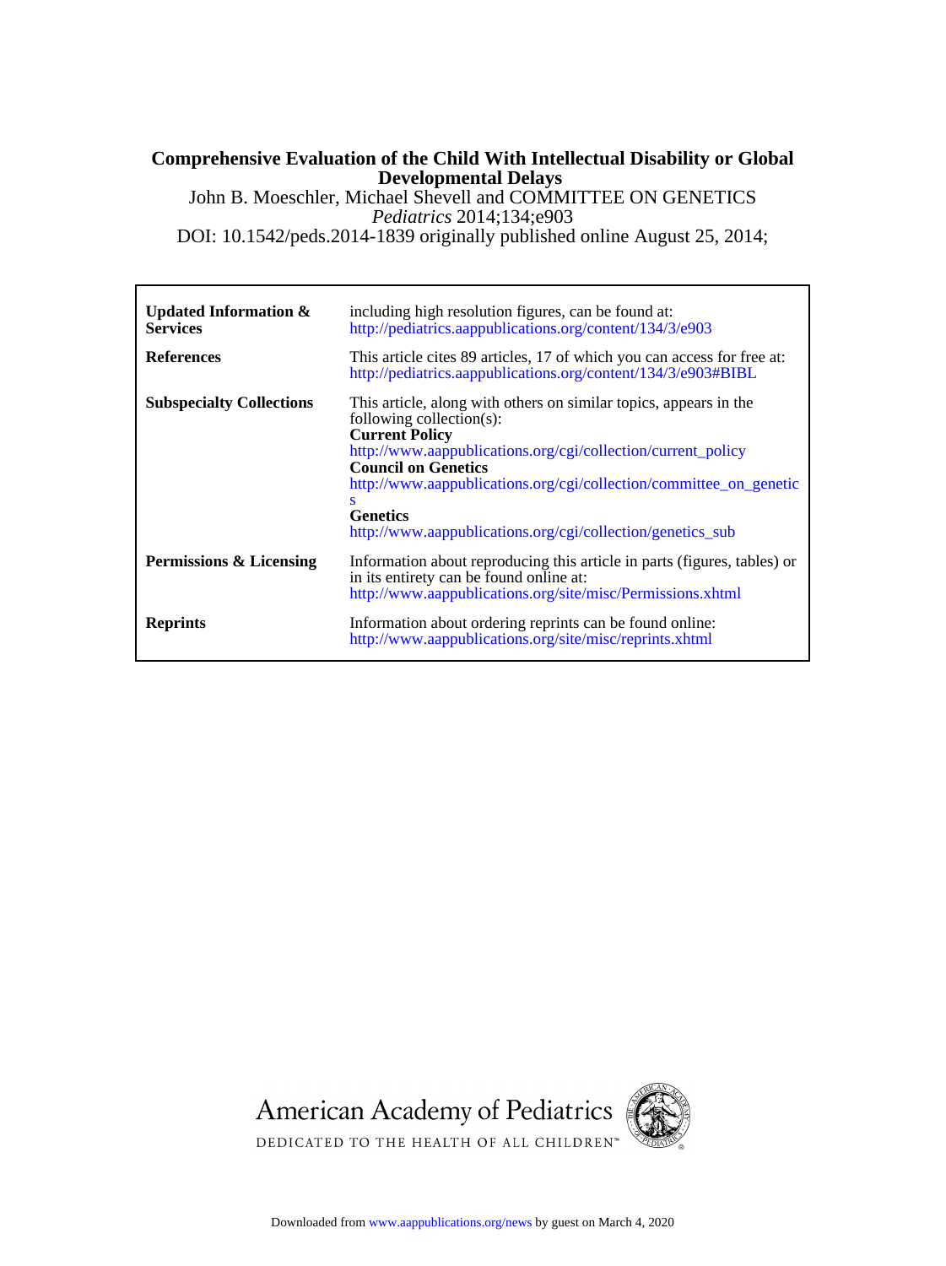# **Comprehensive Evaluation of the Child With Intellectual Disability or Global Developmental Delays**

John B. Moeschler, Michael Shevell and COMMITTEE ON GENETICS *Pediatrics* 2014;134;e903 DOI: 10.1542/peds.2014-1839 originally published online August 25, 2014;

٦

ľ

| Updated Information $\&$<br><b>Services</b> | including high resolution figures, can be found at:<br>http://pediatrics.aappublications.org/content/134/3/e903                                                                                                                                                                                                                                                                  |
|---------------------------------------------|----------------------------------------------------------------------------------------------------------------------------------------------------------------------------------------------------------------------------------------------------------------------------------------------------------------------------------------------------------------------------------|
| <b>References</b>                           | This article cites 89 articles, 17 of which you can access for free at:<br>http://pediatrics.aappublications.org/content/134/3/e903#BIBL                                                                                                                                                                                                                                         |
| <b>Subspecialty Collections</b>             | This article, along with others on similar topics, appears in the<br>following collection(s):<br><b>Current Policy</b><br>http://www.aappublications.org/cgi/collection/current_policy<br><b>Council on Genetics</b><br>http://www.aappublications.org/cgi/collection/committee_on_genetic<br>s<br><b>Genetics</b><br>http://www.aappublications.org/cgi/collection/genetics sub |
| Permissions & Licensing                     | Information about reproducing this article in parts (figures, tables) or<br>in its entirety can be found online at:<br>http://www.aappublications.org/site/misc/Permissions.xhtml                                                                                                                                                                                                |
| <b>Reprints</b>                             | Information about ordering reprints can be found online:<br>http://www.aappublications.org/site/misc/reprints.xhtml                                                                                                                                                                                                                                                              |